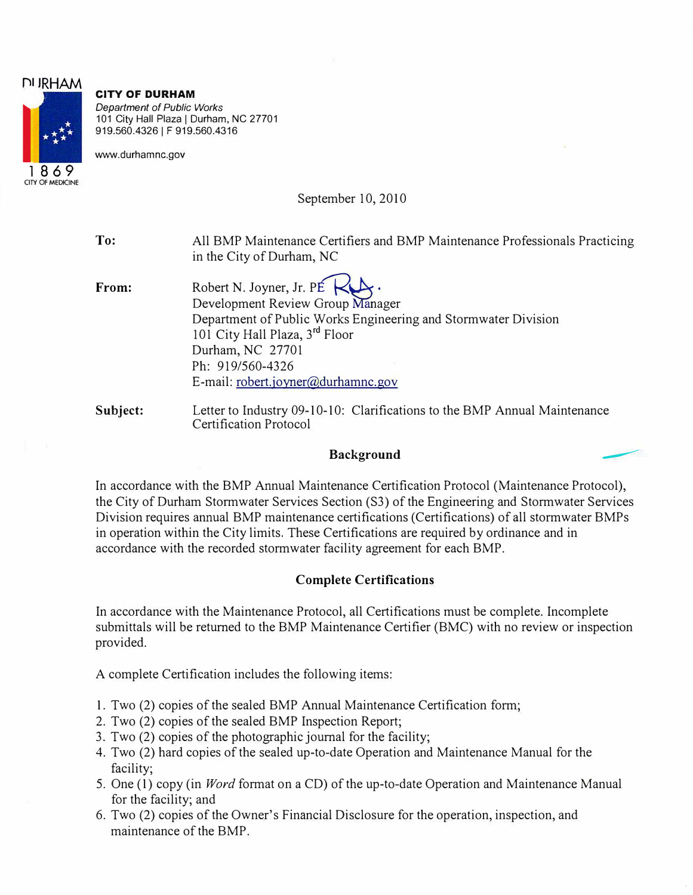## **CITY OF DURHAM**

*Department of Public Works*  101 City Hall Plaza | Durham, NC 27701 919.560.4326 I F 919.560.4316

www.durhamnc.gov

September 10, 2010

**To:** All BMP Maintenance Certifiers and BMP Maintenance Professionals Practicing in the City of Durham, NC

- **From:** Robert N. Joyner, Jr. PÉ Development Review Group Manager Department of Public Works Engineering and Stormwater Division 101 City Hall Plaza, 3<sup>rd</sup> Floor Durham, NC 27701 Ph: 919/560-4326 E-mail: robert.joyner@durhamnc.gov
- **Subject:** Letter to Industry 09-10-10: Clarifications to the BMP Annual Maintenance Certification Protocol **Background** ----

In accordance with the BMP Annual Maintenance Certification Protocol (Maintenance Protocol), the City of Durham Stormwater Services Section (S3) of the Engineering and Stormwater Services Division requires annual BMP maintenance certifications (Certifications) of all stormwater BMPs

**Complete Certifications** 

in operation within the City limits. These Certifications are required by ordinance and in

In accordance with the Maintenance Protocol, all Certifications must be complete. Incomplete submittals will be returned to the BMP Maintenance Certifier (BMC) with no review or inspection provided.

A complete Certification includes the following items:

1. Two (2) copies of the sealed BMP Annual Maintenance Certification form;

accordance with the recorded storm water facility agreement for each BMP.

- 2. Two (2) copies of the sealed BMP Inspection Report;
- 3. Two (2) copies of the photographic journal for the facility;
- 4. Two (2) hard copies of the sealed up-to-date Operation and Maintenance Manual for the facility;
- 5. One (1) copy (in *Word* format on a CD) of the up-to-date Operation and Maintenance Manual for the facility; and
- 6. Two (2) copies of the Owner's Financial Disclosure for the operation, inspection, and maintenance of the BMP.

E **1869 OTY OF MEDICINE** 

**f")I JRHAM**